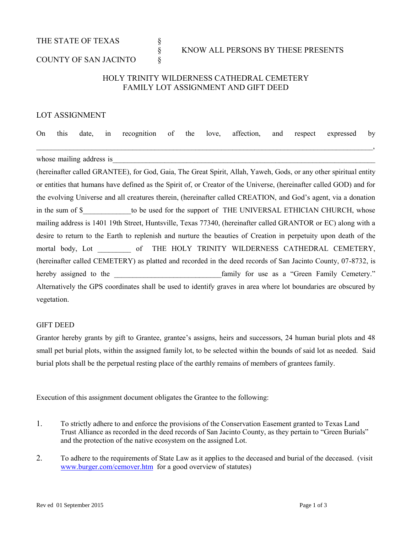THE STATE OF TEXAS  $\S$ 

# § KNOW ALL PERSONS BY THESE PRESENTS

## COUNTY OF SAN JACINTO  $\S$

## HOLY TRINITY WILDERNESS CATHEDRAL CEMETERY FAMILY LOT ASSIGNMENT AND GIFT DEED

#### LOT ASSIGNMENT

On this date, in recognition of the love, affection, and respect expressed by  $\, , \,$ 

whose mailing address is

(hereinafter called GRANTEE), for God, Gaia, The Great Spirit, Allah, Yaweh, Gods, or any other spiritual entity or entities that humans have defined as the Spirit of, or Creator of the Universe, (hereinafter called GOD) and for the evolving Universe and all creatures therein, (hereinafter called CREATION, and God's agent, via a donation in the sum of \$ The support of THE UNIVERSAL ETHICIAN CHURCH, whose mailing address is 1401 19th Street, Huntsville, Texas 77340, (hereinafter called GRANTOR or EC) along with a desire to return to the Earth to replenish and nurture the beauties of Creation in perpetuity upon death of the mortal body, Lot of THE HOLY TRINITY WILDERNESS CATHEDRAL CEMETERY, (hereinafter called CEMETERY) as platted and recorded in the deed records of San Jacinto County, 07-8732, is hereby assigned to the the family for use as a "Green Family Cemetery." Alternatively the GPS coordinates shall be used to identify graves in area where lot boundaries are obscured by vegetation.

#### GIFT DEED

Grantor hereby grants by gift to Grantee, grantee's assigns, heirs and successors, 24 human burial plots and 48 small pet burial plots, within the assigned family lot, to be selected within the bounds of said lot as needed. Said burial plots shall be the perpetual resting place of the earthly remains of members of grantees family.

Execution of this assignment document obligates the Grantee to the following:

- 1. To strictly adhere to and enforce the provisions of the Conservation Easement granted to Texas Land Trust Alliance as recorded in the deed records of San Jacinto County, as they pertain to "Green Burials" and the protection of the native ecosystem on the assigned Lot.
- 2. To adhere to the requirements of State Law as it applies to the deceased and burial of the deceased. (visit [www.burger.com/cemover.htm](http://www.burger.com/cemover.htm) for a good overview of statutes)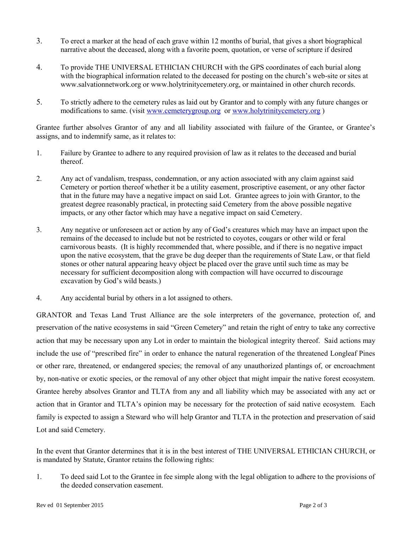- 3. To erect a marker at the head of each grave within 12 months of burial, that gives a short biographical narrative about the deceased, along with a favorite poem, quotation, or verse of scripture if desired
- 4. To provide THE UNIVERSAL ETHICIAN CHURCH with the GPS coordinates of each burial along with the biographical information related to the deceased for posting on the church's web-site or sites at www.salvationnetwork.org or www.holytrinitycemetery.org, or maintained in other church records.
- 5. To strictly adhere to the cemetery rules as laid out by Grantor and to comply with any future changes or modifications to same. (visit [www.cemeterygroup.org](http://www.cemeterygroup.org/) or [www.holytrinitycemetery.org](http://www.holytrinitycemetery.org/))

Grantee further absolves Grantor of any and all liability associated with failure of the Grantee, or Grantee's assigns, and to indemnify same, as it relates to:

- 1. Failure by Grantee to adhere to any required provision of law as it relates to the deceased and burial thereof.
- 2. Any act of vandalism, trespass, condemnation, or any action associated with any claim against said Cemetery or portion thereof whether it be a utility easement, proscriptive easement, or any other factor that in the future may have a negative impact on said Lot. Grantee agrees to join with Grantor, to the greatest degree reasonably practical, in protecting said Cemetery from the above possible negative impacts, or any other factor which may have a negative impact on said Cemetery.
- 3. Any negative or unforeseen act or action by any of God's creatures which may have an impact upon the remains of the deceased to include but not be restricted to coyotes, cougars or other wild or feral carnivorous beasts. (It is highly recommended that, where possible, and if there is no negative impact upon the native ecosystem, that the grave be dug deeper than the requirements of State Law, or that field stones or other natural appearing heavy object be placed over the grave until such time as may be necessary for sufficient decomposition along with compaction will have occurred to discourage excavation by God's wild beasts.)
- 4. Any accidental burial by others in a lot assigned to others.

GRANTOR and Texas Land Trust Alliance are the sole interpreters of the governance, protection of, and preservation of the native ecosystems in said "Green Cemetery" and retain the right of entry to take any corrective action that may be necessary upon any Lot in order to maintain the biological integrity thereof. Said actions may include the use of "prescribed fire" in order to enhance the natural regeneration of the threatened Longleaf Pines or other rare, threatened, or endangered species; the removal of any unauthorized plantings of, or encroachment by, non-native or exotic species, or the removal of any other object that might impair the native forest ecosystem. Grantee hereby absolves Grantor and TLTA from any and all liability which may be associated with any act or action that in Grantor and TLTA's opinion may be necessary for the protection of said native ecosystem. Each family is expected to assign a Steward who will help Grantor and TLTA in the protection and preservation of said Lot and said Cemetery.

In the event that Grantor determines that it is in the best interest of THE UNIVERSAL ETHICIAN CHURCH, or is mandated by Statute, Grantor retains the following rights:

1. To deed said Lot to the Grantee in fee simple along with the legal obligation to adhere to the provisions of the deeded conservation easement.